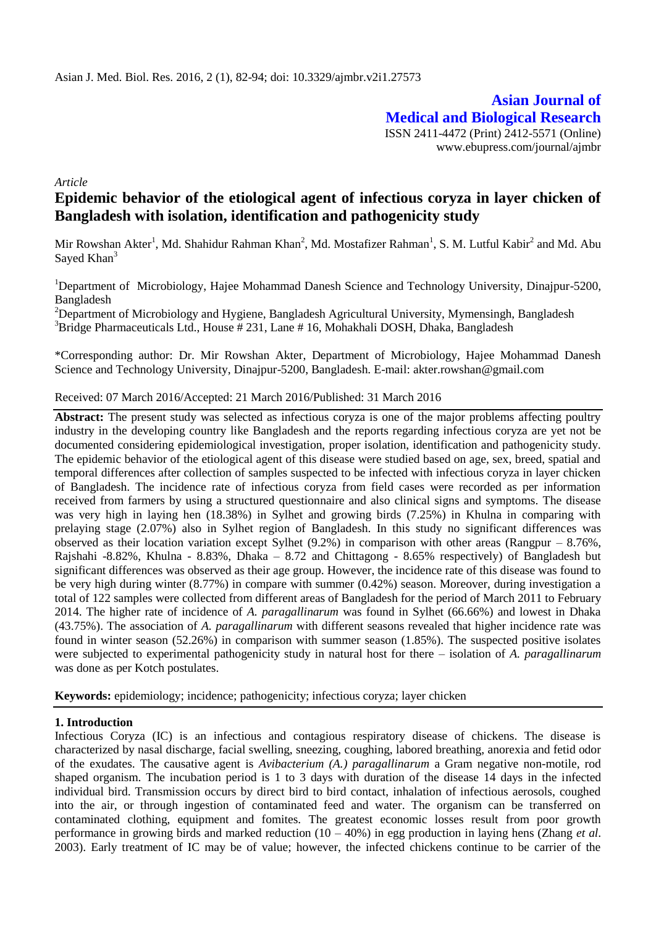**Asian Journal of Medical and Biological Research** ISSN 2411-4472 (Print) 2412-5571 (Online) www.ebupress.com/journal/ajmbr

*Article*

# **Epidemic behavior of the etiological agent of infectious coryza in layer chicken of Bangladesh with isolation, identification and pathogenicity study**

Mir Rowshan Akter<sup>1</sup>, Md. Shahidur Rahman Khan<sup>2</sup>, Md. Mostafizer Rahman<sup>1</sup>, S. M. Lutful Kabir<sup>2</sup> and Md. Abu Sayed Khan<sup>3</sup>

<sup>1</sup>Department of Microbiology, Hajee Mohammad Danesh Science and Technology University, Dinajpur-5200, Bangladesh

<sup>2</sup>Department of Microbiology and Hygiene, Bangladesh Agricultural University, Mymensingh, Bangladesh  $3B$ Fridge Pharmaceuticals Ltd., House # 231, Lane # 16, Mohakhali DOSH, Dhaka, Bangladesh

\*Corresponding author: Dr. Mir Rowshan Akter, Department of Microbiology, Hajee Mohammad Danesh Science and Technology University, Dinajpur-5200, Bangladesh. E-mail: akter.rowshan@gmail.com

#### Received: 07 March 2016/Accepted: 21 March 2016/Published: 31 March 2016

**Abstract:** The present study was selected as infectious coryza is one of the major problems affecting poultry industry in the developing country like Bangladesh and the reports regarding infectious coryza are yet not be documented considering epidemiological investigation, proper isolation, identification and pathogenicity study. The epidemic behavior of the etiological agent of this disease were studied based on age, sex, breed, spatial and temporal differences after collection of samples suspected to be infected with infectious coryza in layer chicken of Bangladesh. The incidence rate of infectious coryza from field cases were recorded as per information received from farmers by using a structured questionnaire and also clinical signs and symptoms. The disease was very high in laying hen (18.38%) in Sylhet and growing birds (7.25%) in Khulna in comparing with prelaying stage (2.07%) also in Sylhet region of Bangladesh. In this study no significant differences was observed as their location variation except Sylhet (9.2%) in comparison with other areas (Rangpur – 8.76%, Rajshahi -8.82%, Khulna - 8.83%, Dhaka – 8.72 and Chittagong - 8.65% respectively) of Bangladesh but significant differences was observed as their age group. However, the incidence rate of this disease was found to be very high during winter (8.77%) in compare with summer (0.42%) season. Moreover, during investigation a total of 122 samples were collected from different areas of Bangladesh for the period of March 2011 to February 2014. The higher rate of incidence of *A. paragallinarum* was found in Sylhet (66.66%) and lowest in Dhaka (43.75%). The association of *A. paragallinarum* with different seasons revealed that higher incidence rate was found in winter season (52.26%) in comparison with summer season (1.85%). The suspected positive isolates were subjected to experimental pathogenicity study in natural host for there – isolation of *A. paragallinarum*  was done as per Kotch postulates.

**Keywords:** epidemiology; incidence; pathogenicity; infectious coryza; layer chicken

### **1. Introduction**

Infectious Coryza (IC) is an infectious and contagious respiratory disease of chickens. The disease is characterized by nasal discharge, facial swelling, sneezing, coughing, labored breathing, anorexia and fetid odor of the exudates. The causative agent is *Avibacterium (A.) paragallinarum* a Gram negative non-motile, rod shaped organism. The incubation period is 1 to 3 days with duration of the disease 14 days in the infected individual bird. Transmission occurs by direct bird to bird contact, inhalation of infectious aerosols, coughed into the air, or through ingestion of contaminated feed and water. The organism can be transferred on contaminated clothing, equipment and fomites. The greatest economic losses result from poor growth performance in growing birds and marked reduction (10 – 40%) in egg production in laying hens (Zhang *et al*. 2003). Early treatment of IC may be of value; however, the infected chickens continue to be carrier of the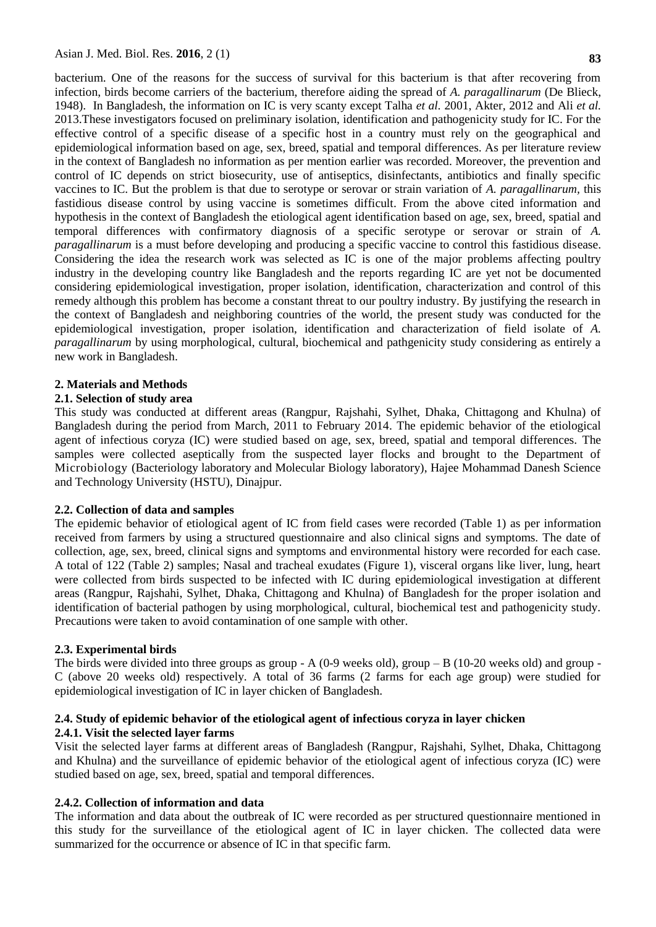bacterium. One of the reasons for the success of survival for this bacterium is that after recovering from infection, birds become carriers of the bacterium, therefore aiding the spread of *A. paragallinarum* (De Blieck, 1948). In Bangladesh, the information on IC is very scanty except Talha *et al.* 2001, Akter*,* 2012 and Ali *et al.*  2013.These investigators focused on preliminary isolation, identification and pathogenicity study for IC. For the effective control of a specific disease of a specific host in a country must rely on the geographical and epidemiological information based on age, sex, breed, spatial and temporal differences. As per literature review in the context of Bangladesh no information as per mention earlier was recorded. Moreover, the prevention and control of IC depends on strict biosecurity, use of antiseptics, disinfectants, antibiotics and finally specific vaccines to IC. But the problem is that due to serotype or serovar or strain variation of *A. paragallinarum,* this fastidious disease control by using vaccine is sometimes difficult. From the above cited information and hypothesis in the context of Bangladesh the etiological agent identification based on age, sex, breed, spatial and temporal differences with confirmatory diagnosis of a specific serotype or serovar or strain of *A. paragallinarum* is a must before developing and producing a specific vaccine to control this fastidious disease. Considering the idea the research work was selected as IC is one of the major problems affecting poultry industry in the developing country like Bangladesh and the reports regarding IC are yet not be documented considering epidemiological investigation, proper isolation, identification, characterization and control of this remedy although this problem has become a constant threat to our poultry industry. By justifying the research in the context of Bangladesh and neighboring countries of the world, the present study was conducted for the epidemiological investigation, proper isolation, identification and characterization of field isolate of *A. paragallinarum* by using morphological, cultural, biochemical and pathgenicity study considering as entirely a new work in Bangladesh.

### **2. Materials and Methods**

#### **2.1. Selection of study area**

This study was conducted at different areas (Rangpur, Rajshahi, Sylhet, Dhaka, Chittagong and Khulna) of Bangladesh during the period from March, 2011 to February 2014. The epidemic behavior of the etiological agent of infectious coryza (IC) were studied based on age, sex, breed, spatial and temporal differences. The samples were collected aseptically from the suspected layer flocks and brought to the Department of Microbiology (Bacteriology laboratory and Molecular Biology laboratory), Hajee Mohammad Danesh Science and Technology University (HSTU), Dinajpur.

#### **2.2. Collection of data and samples**

The epidemic behavior of etiological agent of IC from field cases were recorded (Table 1) as per information received from farmers by using a structured questionnaire and also clinical signs and symptoms. The date of collection, age, sex, breed, clinical signs and symptoms and environmental history were recorded for each case. A total of 122 (Table 2) samples; Nasal and tracheal exudates (Figure 1), visceral organs like liver, lung, heart were collected from birds suspected to be infected with IC during epidemiological investigation at different areas (Rangpur, Rajshahi, Sylhet, Dhaka, Chittagong and Khulna) of Bangladesh for the proper isolation and identification of bacterial pathogen by using morphological, cultural, biochemical test and pathogenicity study. Precautions were taken to avoid contamination of one sample with other.

#### **2.3. Experimental birds**

The birds were divided into three groups as group  $-A(0-9$  weeks old), group  $-B(10-20$  weeks old) and group -C (above 20 weeks old) respectively. A total of 36 farms (2 farms for each age group) were studied for epidemiological investigation of IC in layer chicken of Bangladesh.

### **2.4. Study of epidemic behavior of the etiological agent of infectious coryza in layer chicken 2.4.1. Visit the selected layer farms**

Visit the selected layer farms at different areas of Bangladesh (Rangpur, Rajshahi, Sylhet, Dhaka, Chittagong and Khulna) and the surveillance of epidemic behavior of the etiological agent of infectious coryza (IC) were studied based on age, sex, breed, spatial and temporal differences.

### **2.4.2. Collection of information and data**

The information and data about the outbreak of IC were recorded as per structured questionnaire mentioned in this study for the surveillance of the etiological agent of IC in layer chicken. The collected data were summarized for the occurrence or absence of IC in that specific farm.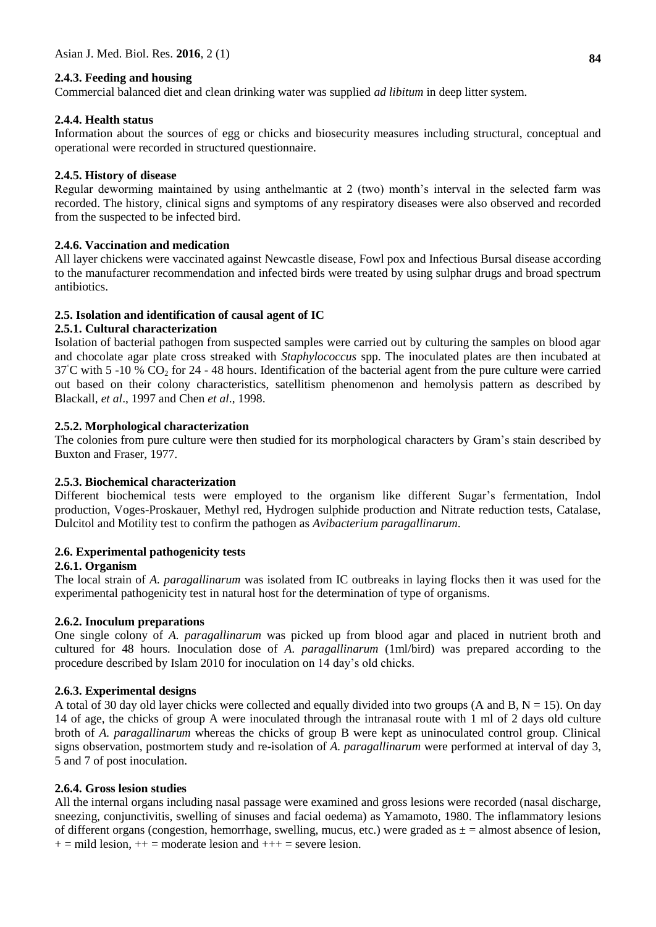### **2.4.3. Feeding and housing**

Commercial balanced diet and clean drinking water was supplied *ad libitum* in deep litter system.

### **2.4.4. Health status**

Information about the sources of egg or chicks and biosecurity measures including structural, conceptual and operational were recorded in structured questionnaire.

### **2.4.5. History of disease**

Regular deworming maintained by using anthelmantic at 2 (two) month's interval in the selected farm was recorded. The history, clinical signs and symptoms of any respiratory diseases were also observed and recorded from the suspected to be infected bird.

### **2.4.6. Vaccination and medication**

All layer chickens were vaccinated against Newcastle disease, Fowl pox and Infectious Bursal disease according to the manufacturer recommendation and infected birds were treated by using sulphar drugs and broad spectrum antibiotics.

### **2.5. Isolation and identification of causal agent of IC**

### **2.5.1. Cultural characterization**

Isolation of bacterial pathogen from suspected samples were carried out by culturing the samples on blood agar and chocolate agar plate cross streaked with *Staphylococcus* spp. The inoculated plates are then incubated at  $37^{\circ}$ C with 5 -10 % CO<sub>2</sub> for 24 - 48 hours. Identification of the bacterial agent from the pure culture were carried out based on their colony characteristics, satellitism phenomenon and hemolysis pattern as described by Blackall, *et al*., 1997 and Chen *et al*., 1998.

### **2.5.2. Morphological characterization**

The colonies from pure culture were then studied for its morphological characters by Gram's stain described by Buxton and Fraser, 1977.

### **2.5.3. Biochemical characterization**

Different biochemical tests were employed to the organism like different Sugar's fermentation, Indol production, Voges-Proskauer, Methyl red, Hydrogen sulphide production and Nitrate reduction tests, Catalase, Dulcitol and Motility test to confirm the pathogen as *Avibacterium paragallinarum*.

## **2.6. Experimental pathogenicity tests**

### **2.6.1. Organism**

The local strain of *A. paragallinarum* was isolated from IC outbreaks in laying flocks then it was used for the experimental pathogenicity test in natural host for the determination of type of organisms.

### **2.6.2. Inoculum preparations**

One single colony of *A. paragallinarum* was picked up from blood agar and placed in nutrient broth and cultured for 48 hours. Inoculation dose of *A. paragallinarum* (1ml/bird) was prepared according to the procedure described by Islam 2010 for inoculation on 14 day's old chicks.

### **2.6.3. Experimental designs**

A total of 30 day old layer chicks were collected and equally divided into two groups (A and B,  $N = 15$ ). On day 14 of age, the chicks of group A were inoculated through the intranasal route with 1 ml of 2 days old culture broth of *A. paragallinarum* whereas the chicks of group B were kept as uninoculated control group. Clinical signs observation, postmortem study and re-isolation of *A. paragallinarum* were performed at interval of day 3, 5 and 7 of post inoculation.

### **2.6.4. Gross lesion studies**

All the internal organs including nasal passage were examined and gross lesions were recorded (nasal discharge, sneezing, conjunctivitis, swelling of sinuses and facial oedema) as Yamamoto, 1980. The inflammatory lesions of different organs (congestion, hemorrhage, swelling, mucus, etc.) were graded as  $\pm$  = almost absence of lesion,  $+=$  mild lesion,  $++$  = moderate lesion and  $++$  = severe lesion.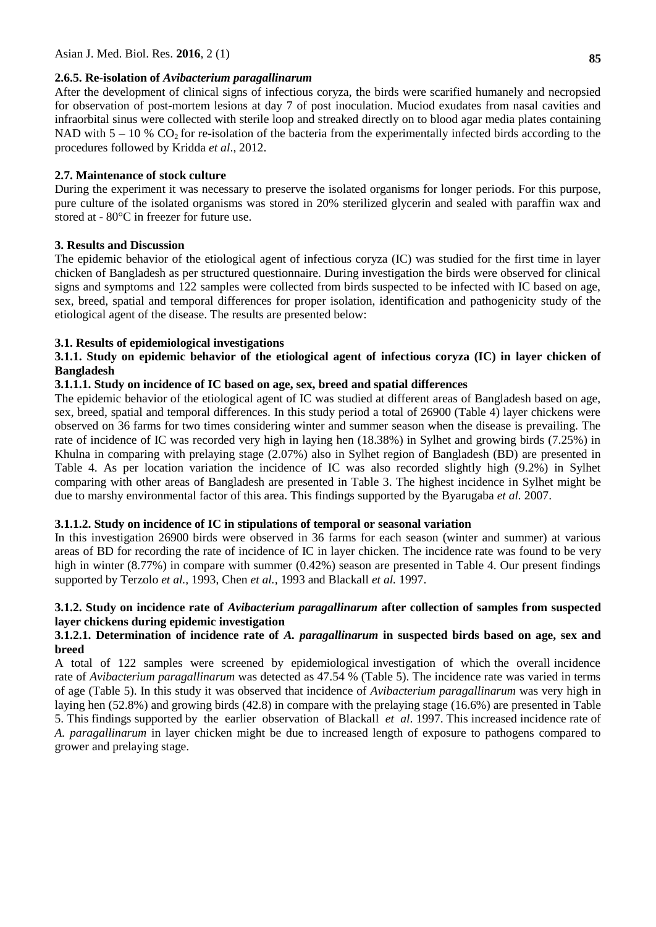### **2.6.5. Re-isolation of** *Avibacterium paragallinarum*

After the development of clinical signs of infectious coryza, the birds were scarified humanely and necropsied for observation of post-mortem lesions at day 7 of post inoculation. Muciod exudates from nasal cavities and infraorbital sinus were collected with sterile loop and streaked directly on to blood agar media plates containing NAD with  $5 - 10$  % CO<sub>2</sub> for re-isolation of the bacteria from the experimentally infected birds according to the procedures followed by Kridda *et al*., 2012.

# **2.7. Maintenance of stock culture**

During the experiment it was necessary to preserve the isolated organisms for longer periods. For this purpose, pure culture of the isolated organisms was stored in 20% sterilized glycerin and sealed with paraffin wax and stored at - 80°C in freezer for future use.

### **3. Results and Discussion**

The epidemic behavior of the etiological agent of infectious coryza (IC) was studied for the first time in layer chicken of Bangladesh as per structured questionnaire. During investigation the birds were observed for clinical signs and symptoms and 122 samples were collected from birds suspected to be infected with IC based on age, sex, breed, spatial and temporal differences for proper isolation, identification and pathogenicity study of the etiological agent of the disease. The results are presented below:

### **3.1. Results of epidemiological investigations**

# **3.1.1. Study on epidemic behavior of the etiological agent of infectious coryza (IC) in layer chicken of Bangladesh**

# **3.1.1.1. Study on incidence of IC based on age, sex, breed and spatial differences**

The epidemic behavior of the etiological agent of IC was studied at different areas of Bangladesh based on age, sex, breed, spatial and temporal differences. In this study period a total of 26900 (Table 4) layer chickens were observed on 36 farms for two times considering winter and summer season when the disease is prevailing. The rate of incidence of IC was recorded very high in laying hen (18.38%) in Sylhet and growing birds (7.25%) in Khulna in comparing with prelaying stage (2.07%) also in Sylhet region of Bangladesh (BD) are presented in Table 4. As per location variation the incidence of IC was also recorded slightly high (9.2%) in Sylhet comparing with other areas of Bangladesh are presented in Table 3. The highest incidence in Sylhet might be due to marshy environmental factor of this area. This findings supported by the [Byarugaba](http://academic.research.microsoft.com/Author/5008942/denis-k-byarugaba) *et al.* 2007.

### **3.1.1.2. Study on incidence of IC in stipulations of temporal or seasonal variation**

In this investigation 26900 birds were observed in 36 farms for each season (winter and summer) at various areas of BD for recording the rate of incidence of IC in layer chicken. The incidence rate was found to be very high in winter (8.77%) in compare with summer (0.42%) season are presented in Table 4. Our present findings supported by Terzolo *et al.,* 1993, Chen *et al.,* 1993 and Blackall *et al.* 1997.

### **3.1.2. Study on incidence rate of** *Avibacterium paragallinarum* **after collection of samples from suspected layer chickens during epidemic investigation**

### **3.1.2.1. Determination of incidence rate of** *A. paragallinarum* **in suspected birds based on age, sex and breed**

A total of 122 samples were screened by epidemiological investigation of which the overall incidence rate of *Avibacterium paragallinarum* was detected as 47.54 % (Table 5). The incidence rate was varied in terms of age (Table 5). In this study it was observed that incidence of *Avibacterium paragallinarum* was very high in laying hen (52.8%) and growing birds (42.8) in compare with the prelaying stage (16.6%) are presented in Table 5. This findings supported by the earlier observation of Blackall *et al*. 1997. This increased incidence rate of *A. paragallinarum* in layer chicken might be due to increased length of exposure to pathogens compared to grower and prelaying stage.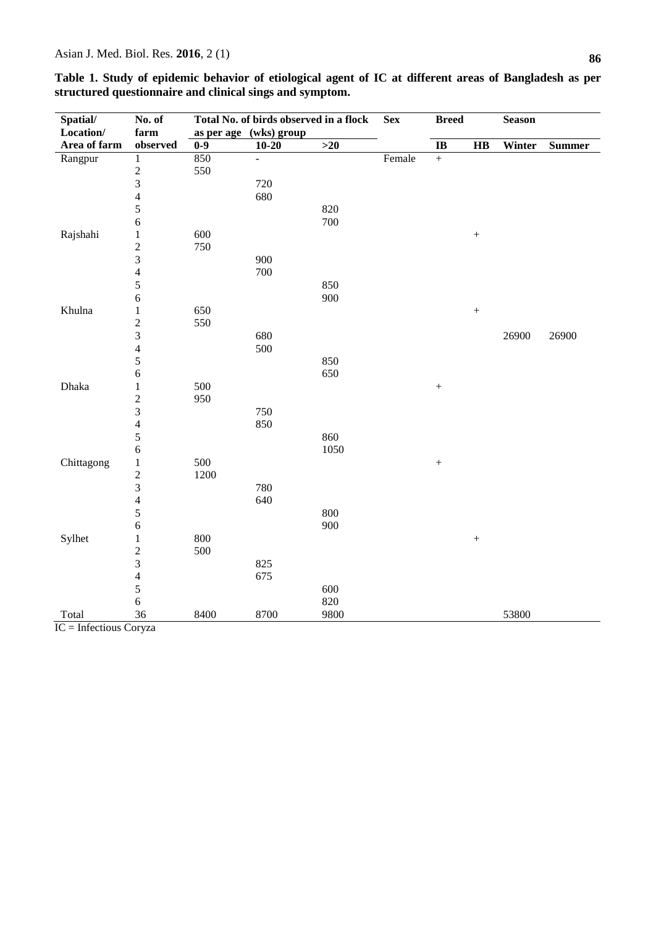| Spatial/     | No. of                  |       | Total No. of birds observed in a flock |       | <b>Sex</b> | <b>Breed</b>           |                   | <b>Season</b> |               |
|--------------|-------------------------|-------|----------------------------------------|-------|------------|------------------------|-------------------|---------------|---------------|
| Location/    | farm                    |       | as per age (wks) group                 |       |            |                        |                   |               |               |
| Area of farm | observed                | $0-9$ | $10 - 20$                              | $>20$ |            | $\mathbf{I}\mathbf{B}$ | HB                | Winter        | <b>Summer</b> |
| Rangpur      | $\mathbf{1}$            | 850   | ÷,                                     |       | Female     | $\boldsymbol{+}$       |                   |               |               |
|              | $\frac{2}{3}$           | 550   |                                        |       |            |                        |                   |               |               |
|              |                         |       | 720                                    |       |            |                        |                   |               |               |
|              | $\overline{\mathbf{4}}$ |       | 680                                    |       |            |                        |                   |               |               |
|              | 5                       |       |                                        | 820   |            |                        |                   |               |               |
|              | 6                       |       |                                        | 700   |            |                        |                   |               |               |
| Rajshahi     | $\mathbf{1}$            | 600   |                                        |       |            |                        | $\! + \!$         |               |               |
|              | $\overline{c}$          | 750   |                                        |       |            |                        |                   |               |               |
|              | 3                       |       | 900                                    |       |            |                        |                   |               |               |
|              | $\overline{\mathbf{4}}$ |       | 700                                    |       |            |                        |                   |               |               |
|              | $\sqrt{5}$              |       |                                        | 850   |            |                        |                   |               |               |
|              | $\sqrt{6}$              |       |                                        | 900   |            |                        |                   |               |               |
| Khulna       | 1                       | 650   |                                        |       |            |                        | $\qquad \qquad +$ |               |               |
|              | $\overline{c}$          | 550   |                                        |       |            |                        |                   |               |               |
|              | $\overline{3}$          |       | 680                                    |       |            |                        |                   | 26900         | 26900         |
|              | $\overline{\mathbf{4}}$ |       | 500                                    |       |            |                        |                   |               |               |
|              | $\sqrt{5}$              |       |                                        | 850   |            |                        |                   |               |               |
|              | 6                       |       |                                        | 650   |            |                        |                   |               |               |
| Dhaka        | $\mathbf{1}$            | 500   |                                        |       |            |                        |                   |               |               |
|              | $\overline{c}$          | 950   |                                        |       |            |                        |                   |               |               |
|              | $\mathfrak{Z}$          |       | 750                                    |       |            |                        |                   |               |               |
|              | $\overline{4}$          |       | 850                                    |       |            |                        |                   |               |               |
|              | 5                       |       |                                        | 860   |            |                        |                   |               |               |
|              | 6                       |       |                                        | 1050  |            |                        |                   |               |               |
| Chittagong   | 1                       | 500   |                                        |       |            |                        |                   |               |               |
|              | $\sqrt{2}$              | 1200  |                                        |       |            |                        |                   |               |               |
|              | $\mathfrak{Z}$          |       | 780                                    |       |            |                        |                   |               |               |
|              | 4                       |       | 640                                    |       |            |                        |                   |               |               |
|              | 5                       |       |                                        | 800   |            |                        |                   |               |               |
|              | 6                       |       |                                        | 900   |            |                        |                   |               |               |
| Sylhet       | $\mathbf{1}$            | 800   |                                        |       |            |                        |                   |               |               |
|              | $\sqrt{2}$              | 500   |                                        |       |            |                        |                   |               |               |
|              | 3                       |       | 825                                    |       |            |                        |                   |               |               |
|              | $\overline{4}$          |       | 675                                    |       |            |                        |                   |               |               |
|              | 5                       |       |                                        | 600   |            |                        |                   |               |               |
|              | $\sqrt{6}$              |       |                                        | 820   |            |                        |                   |               |               |
| Total        | 36                      | 8400  | 8700                                   | 9800  |            |                        |                   | 53800         |               |

| Table 1. Study of epidemic behavior of etiological agent of IC at different areas of Bangladesh as per |  |
|--------------------------------------------------------------------------------------------------------|--|
| structured questionnaire and clinical sings and symptom.                                               |  |

IC = Infectious Coryza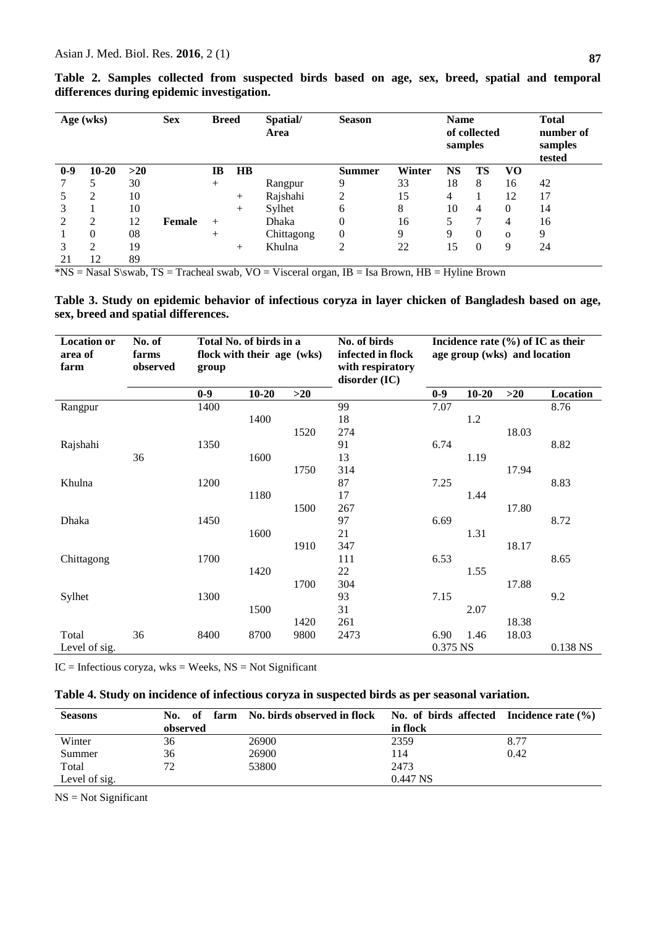21 12 89

|       |           | $\sigma$ i |                                                                 |        | o         |                        |                |        |                                                |          |              |    |
|-------|-----------|------------|-----------------------------------------------------------------|--------|-----------|------------------------|----------------|--------|------------------------------------------------|----------|--------------|----|
|       | Age (wks) |            | <b>Sex</b><br>Spatial/<br><b>Season</b><br><b>Breed</b><br>Area |        |           | <b>Name</b><br>samples | of collected   |        | <b>Total</b><br>number of<br>samples<br>tested |          |              |    |
| $0-9$ | $10 - 20$ | $>20$      |                                                                 | IB     | <b>HB</b> |                        | <b>Summer</b>  | Winter | NS                                             | TS       | VO           |    |
|       |           | 30         |                                                                 | $^{+}$ |           | Rangpur                | 9              | 33     | 18                                             | 8        | 16           | 42 |
|       | ↑         | 10         |                                                                 |        | $^{+}$    | Rajshahi               | ↑              | 15     | 4                                              |          | 12           | 17 |
|       |           | 10         |                                                                 |        | $^{+}$    | Sylhet                 | 6              | 8      | 10                                             | 4        | 0            | 14 |
|       | ↑         | 12         | Female                                                          | $^{+}$ |           | Dhaka                  | 0              | 16     | 5                                              |          | 4            | 16 |
|       | 0         | 08         |                                                                 | $^+$   |           | Chittagong             | $\overline{0}$ | 9      | 9                                              | $\Omega$ | $\mathbf{O}$ | 9  |
|       | ◠         | 19         |                                                                 |        | $\pm$     | Khulna                 | ◠              | 22     | 15                                             | $\Omega$ | 9            | 24 |

**Table 2. Samples collected from suspected birds based on age, sex, breed, spatial and temporal differences during epidemic investigation.**

 $*$ NS = Nasal S\swab, TS = Tracheal swab, VO = Visceral organ, IB = Isa Brown, HB = Hyline Brown

**Table 3. Study on epidemic behavior of infectious coryza in layer chicken of Bangladesh based on age, sex, breed and spatial differences.**

| <b>Location or</b><br>area of<br>farm | No. of<br>farms<br>observed | Total No. of birds in a<br>flock with their age (wks)<br>group |           |       | No. of birds<br>infected in flock<br>with respiratory<br>disorder (IC) | Incidence rate $(\% )$ of IC as their<br>age group (wks) and location |           |       |          |
|---------------------------------------|-----------------------------|----------------------------------------------------------------|-----------|-------|------------------------------------------------------------------------|-----------------------------------------------------------------------|-----------|-------|----------|
|                                       |                             | $0-9$                                                          | $10 - 20$ | $>20$ |                                                                        | $0-9$                                                                 | $10 - 20$ | $>20$ | Location |
| Rangpur                               |                             | 1400                                                           |           |       | 99                                                                     | 7.07                                                                  |           |       | 8.76     |
|                                       |                             |                                                                | 1400      |       | 18                                                                     |                                                                       | 1.2       |       |          |
|                                       |                             |                                                                |           | 1520  | 274                                                                    |                                                                       |           | 18.03 |          |
| Rajshahi                              |                             | 1350                                                           |           |       | 91                                                                     | 6.74                                                                  |           |       | 8.82     |
|                                       | 36                          |                                                                | 1600      |       | 13                                                                     |                                                                       | 1.19      |       |          |
|                                       |                             |                                                                |           | 1750  | 314                                                                    |                                                                       |           | 17.94 |          |
| Khulna                                |                             | 1200                                                           |           |       | 87                                                                     | 7.25                                                                  |           |       | 8.83     |
|                                       |                             |                                                                | 1180      |       | 17                                                                     |                                                                       | 1.44      |       |          |
|                                       |                             |                                                                |           | 1500  | 267                                                                    |                                                                       |           | 17.80 |          |
| Dhaka                                 |                             | 1450                                                           |           |       | 97                                                                     | 6.69                                                                  |           |       | 8.72     |
|                                       |                             |                                                                | 1600      |       | 21                                                                     |                                                                       | 1.31      |       |          |
|                                       |                             |                                                                |           | 1910  | 347                                                                    |                                                                       |           | 18.17 |          |
| Chittagong                            |                             | 1700                                                           |           |       | 111                                                                    | 6.53                                                                  |           |       | 8.65     |
|                                       |                             |                                                                | 1420      |       | 22                                                                     |                                                                       | 1.55      |       |          |
|                                       |                             |                                                                |           | 1700  | 304                                                                    |                                                                       |           | 17.88 |          |
| Sylhet                                |                             | 1300                                                           |           |       | 93                                                                     | 7.15                                                                  |           |       | 9.2      |
|                                       |                             |                                                                | 1500      |       | 31                                                                     |                                                                       | 2.07      |       |          |
|                                       |                             |                                                                |           | 1420  | 261                                                                    |                                                                       |           | 18.38 |          |
| Total                                 | 36                          | 8400                                                           | 8700      | 9800  | 2473                                                                   | 6.90                                                                  | 1.46      | 18.03 |          |
| Level of sig.                         |                             |                                                                |           |       |                                                                        | 0.375 NS                                                              |           |       | 0.138 NS |

 $IC = Infectious corpus, wks = Weeks, NS = Not Significant$ 

|  |  | Table 4. Study on incidence of infectious coryza in suspected birds as per seasonal variation. |  |
|--|--|------------------------------------------------------------------------------------------------|--|
|  |  |                                                                                                |  |

| <b>Seasons</b> | No.<br>of | farm No. birds observed in flock No. of birds affected Incidence rate $(\%)$ |            |      |
|----------------|-----------|------------------------------------------------------------------------------|------------|------|
|                | observed  |                                                                              | in flock   |      |
| Winter         | 36        | 26900                                                                        | 2359       | 8.77 |
| Summer         | 36        | 26900                                                                        | 114        | 0.42 |
| Total          |           | 53800                                                                        | 2473       |      |
| Level of sig.  |           |                                                                              | $0.447$ NS |      |

NS = Not Significant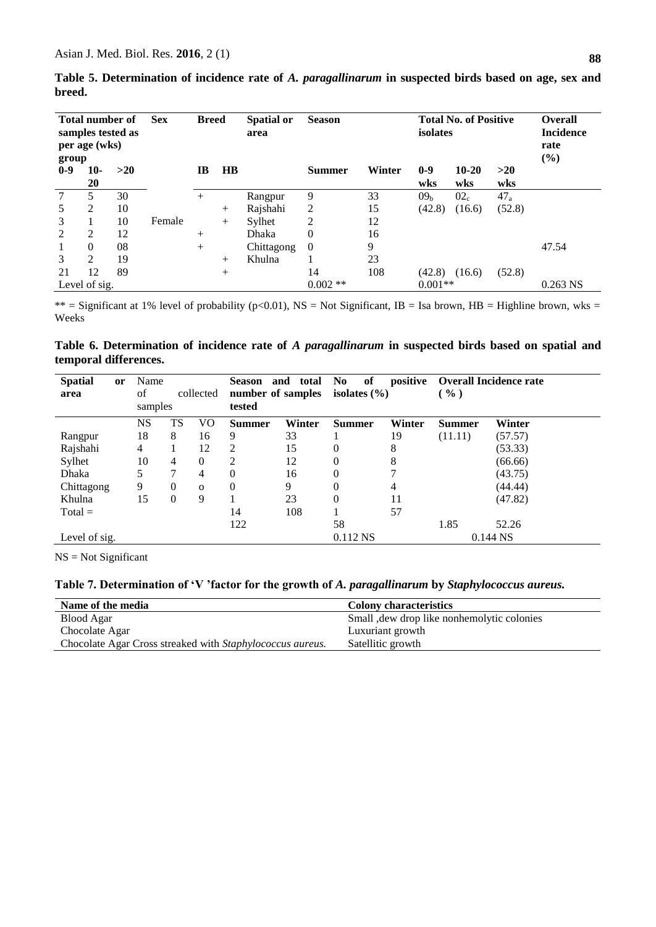| Table 5. Determination of incidence rate of A. paragallinarum in suspected birds based on age, sex and |  |  |  |  |
|--------------------------------------------------------------------------------------------------------|--|--|--|--|
| breed.                                                                                                 |  |  |  |  |

| <b>Total number of</b><br>samples tested as<br>per age (wks)<br>group |               | <b>Sex</b> | <b>Breed</b><br>area |           | <b>Spatial or</b> | <b>Total No. of Positive</b><br><b>Season</b><br>isolates |               |        |                 |                  | <b>Overall</b><br><b>Incidence</b><br>rate<br>(%) |            |
|-----------------------------------------------------------------------|---------------|------------|----------------------|-----------|-------------------|-----------------------------------------------------------|---------------|--------|-----------------|------------------|---------------------------------------------------|------------|
| $0-9$                                                                 | $10-$<br>20   | >20        |                      | $\bf{IB}$ | <b>HB</b>         |                                                           | <b>Summer</b> | Winter | $0-9$<br>wks    | $10 - 20$<br>wks | >20<br>wks                                        |            |
|                                                                       | 5.            | 30         |                      | $+$       |                   | Rangpur                                                   | 9             | 33     | 09 <sub>b</sub> | 02 <sub>c</sub>  | $47_a$                                            |            |
| 5                                                                     | 2             | 10         |                      |           | $^{+}$            | Rajshahi                                                  | 2             | 15     | (42.8)          | (16.6)           | (52.8)                                            |            |
| 3                                                                     |               | 10         | Female               |           | $+$               | Sylhet                                                    | 2             | 12     |                 |                  |                                                   |            |
| 2                                                                     | 2             | 12         |                      | $+$       |                   | Dhaka                                                     | 0             | 16     |                 |                  |                                                   |            |
| 1                                                                     | $\Omega$      | 08         |                      | $+$       |                   | Chittagong                                                | $\Omega$      | 9      |                 |                  |                                                   | 47.54      |
| 3                                                                     | 2             | 19         |                      |           | $^{+}$            | Khulna                                                    |               | 23     |                 |                  |                                                   |            |
| 21                                                                    | 12            | 89         |                      |           | $+$               |                                                           | 14            | 108    | (42.8)          | (16.6)           | (52.8)                                            |            |
|                                                                       | Level of sig. |            |                      |           |                   |                                                           | $0.002$ **    |        | $0.001**$       |                  |                                                   | $0.263$ NS |

\*\* = Significant at 1% level of probability (p<0.01), NS = Not Significant, IB = Isa brown, HB = Highline brown, wks = Weeks

**Table 6. Determination of incidence rate of** *A paragallinarum* **in suspected birds based on spatial and temporal differences.**

| <b>Spatial</b><br>area | <b>or</b> | Name<br>of<br>collected<br>samples |    |              | <b>Season</b><br>and<br>total<br>number of samples<br>tested |        | of<br>positive<br>N <sub>0</sub><br>isolates $(\% )$ |        | <b>Overall Incidence rate</b><br>$($ %) |            |
|------------------------|-----------|------------------------------------|----|--------------|--------------------------------------------------------------|--------|------------------------------------------------------|--------|-----------------------------------------|------------|
|                        |           | <b>NS</b>                          | TS | VO           | <b>Summer</b>                                                | Winter | <b>Summer</b>                                        | Winter | <b>Summer</b>                           | Winter     |
| Rangpur                |           | 18                                 | 8  | 16           | 9                                                            | 33     |                                                      | 19     | (11.11)                                 | (57.57)    |
| Rajshahi               |           | 4                                  |    | 12           | 2                                                            | 15     | 0                                                    | 8      |                                         | (53.33)    |
| Sylhet                 |           | 10                                 | 4  | $\theta$     | 2                                                            | 12     | 0                                                    | 8      |                                         | (66.66)    |
| Dhaka                  |           | 5                                  | 7  | 4            | $\theta$                                                     | 16     | 0                                                    | ┑      |                                         | (43.75)    |
| Chittagong             |           | 9                                  | 0  | $\mathbf{O}$ | $\theta$                                                     | 9      | 0                                                    | 4      |                                         | (44.44)    |
| Khulna                 |           | 15                                 | 0  | 9            |                                                              | 23     | $\theta$                                             | 11     |                                         | (47.82)    |
| $Total =$              |           |                                    |    |              | 14                                                           | 108    |                                                      | 57     |                                         |            |
|                        |           |                                    |    |              | 122                                                          |        | 58                                                   |        | 1.85                                    | 52.26      |
| Level of sig.          |           |                                    |    |              |                                                              |        | 0.112 NS                                             |        |                                         | $0.144$ NS |

NS = Not Significant

**Table 7. Determination of 'V 'factor for the growth of** *A. paragallinarum* **by** *Staphylococcus aureus.*

| Name of the media                                         | <b>Colony characteristics</b>              |
|-----------------------------------------------------------|--------------------------------------------|
| Blood Agar                                                | Small, dew drop like nonhemolytic colonies |
| Chocolate Agar                                            | Luxuriant growth                           |
| Chocolate Agar Cross streaked with Staphylococcus aureus. | Satellitic growth                          |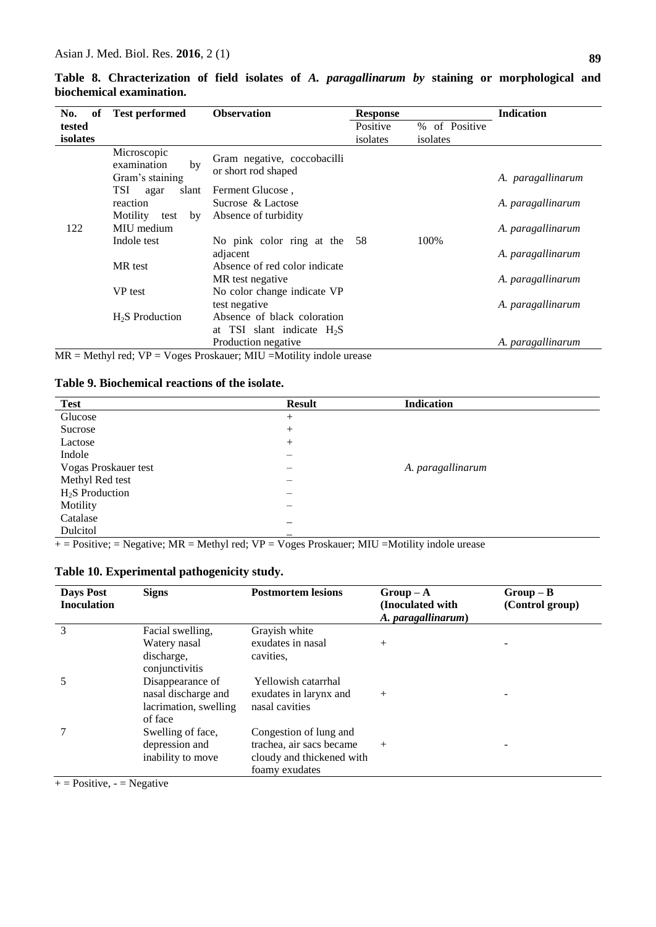| of<br>No. | <b>Test performed</b>                               | <b>Observation</b>                                 | <b>Response</b> |               | <b>Indication</b> |
|-----------|-----------------------------------------------------|----------------------------------------------------|-----------------|---------------|-------------------|
| tested    |                                                     |                                                    | Positive        | % of Positive |                   |
| isolates  |                                                     |                                                    | isolates        | isolates      |                   |
|           | Microscopic<br>examination<br>by<br>Gram's staining | Gram negative, coccobacilli<br>or short rod shaped |                 |               | A. paragallinarum |
|           | <b>TSI</b><br>slant<br>agar                         | Ferment Glucose,                                   |                 |               |                   |
|           | reaction                                            | Sucrose & Lactose                                  |                 |               | A. paragallinarum |
|           | Motility<br>test<br>by                              | Absence of turbidity                               |                 |               |                   |
| 122       | MIU medium                                          |                                                    |                 |               | A. paragallinarum |
|           | Indole test                                         | No pink color ring at the                          | - 58            | 100%          |                   |
|           |                                                     | adjacent                                           |                 |               | A. paragallinarum |
|           | MR test                                             | Absence of red color indicate                      |                 |               |                   |
|           |                                                     | MR test negative                                   |                 |               | A. paragallinarum |
|           | VP test                                             | No color change indicate VP                        |                 |               |                   |
|           |                                                     | test negative                                      |                 |               | A. paragallinarum |
|           | $H2S$ Production                                    | Absence of black coloration                        |                 |               |                   |
|           |                                                     | at TSI slant indicate $H_2S$                       |                 |               |                   |

Production negative **A.** *A. paragallinarum* 

**Table 8. Chracterization of field isolates of** *A. paragallinarum by* **staining or morphological and biochemical examination.** 

 $MR = Methyl red$ ;  $VP = Voges Proskauer$ ;  $MIU = Motility$  indole urease

# **Table 9. Biochemical reactions of the isolate.**

| <b>Test</b>          | <b>Result</b> | <b>Indication</b> |
|----------------------|---------------|-------------------|
| Glucose              | $^{+}$        |                   |
| Sucrose              | $^{+}$        |                   |
| Lactose              | $^{+}$        |                   |
| Indole               | —             |                   |
| Vogas Proskauer test |               | A. paragallinarum |
| Methyl Red test      |               |                   |
| $H2S$ Production     |               |                   |
| Motility             |               |                   |
| Catalase             |               |                   |
| Dulcitol             | –             |                   |

 $+$  = Positive; = Negative; MR = Methyl red; VP = Voges Proskauer; MIU = Motility indole urease

| <b>Days Post</b><br><b>Inoculation</b> | <b>Signs</b>                 | <b>Postmortem lesions</b> | $Group-A$<br>(Inoculated with<br>A. paragallinarum) | $Group-B$<br>(Control group) |
|----------------------------------------|------------------------------|---------------------------|-----------------------------------------------------|------------------------------|
| 3                                      | Facial swelling,             | Grayish white             |                                                     |                              |
|                                        | Watery nasal                 | exudates in nasal         | $^{+}$                                              |                              |
|                                        | discharge,<br>conjunctivitis | cavities.                 |                                                     |                              |
|                                        | Disappearance of             | Yellowish catarrhal       |                                                     |                              |
|                                        | nasal discharge and          | exudates in larynx and    | $+$                                                 |                              |
|                                        | lacrimation, swelling        | nasal cavities            |                                                     |                              |
|                                        | of face                      |                           |                                                     |                              |
|                                        | Swelling of face,            | Congestion of lung and    |                                                     |                              |
|                                        | depression and               | trachea, air sacs became  | $+$                                                 |                              |
|                                        | inability to move            | cloudy and thickened with |                                                     |                              |
|                                        |                              | foamy exudates            |                                                     |                              |

 $+$  = Positive, - = Negative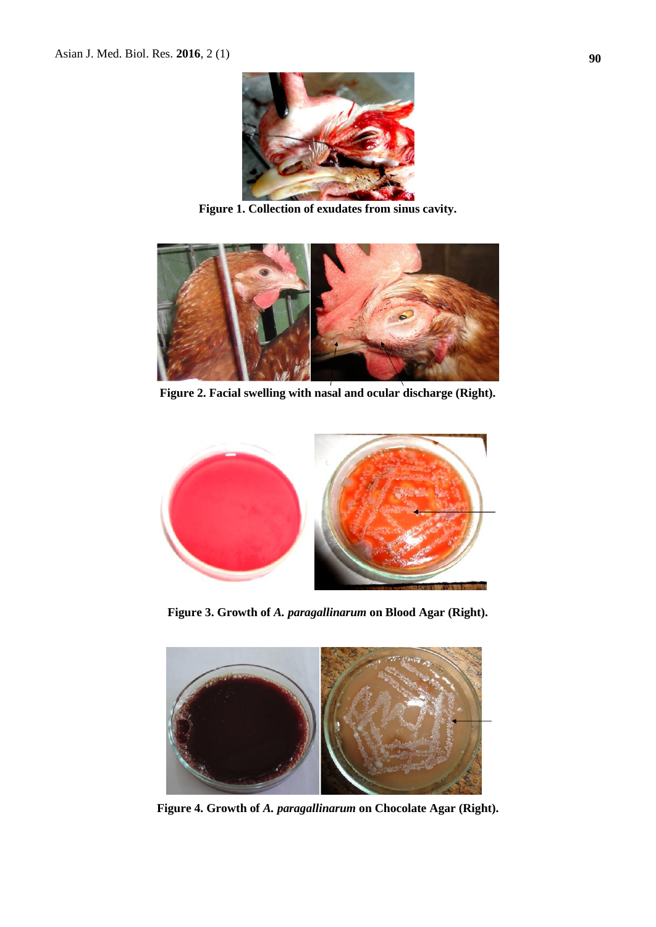

**Figure 1. Collection of exudates from sinus cavity.**



**Figure 2. Facial swelling with nasal and ocular discharge (Right).**



**Figure 3. Growth of** *A. paragallinarum* **on Blood Agar (Right).**



**Figure 4. Growth of** *A. paragallinarum* **on Chocolate Agar (Right).**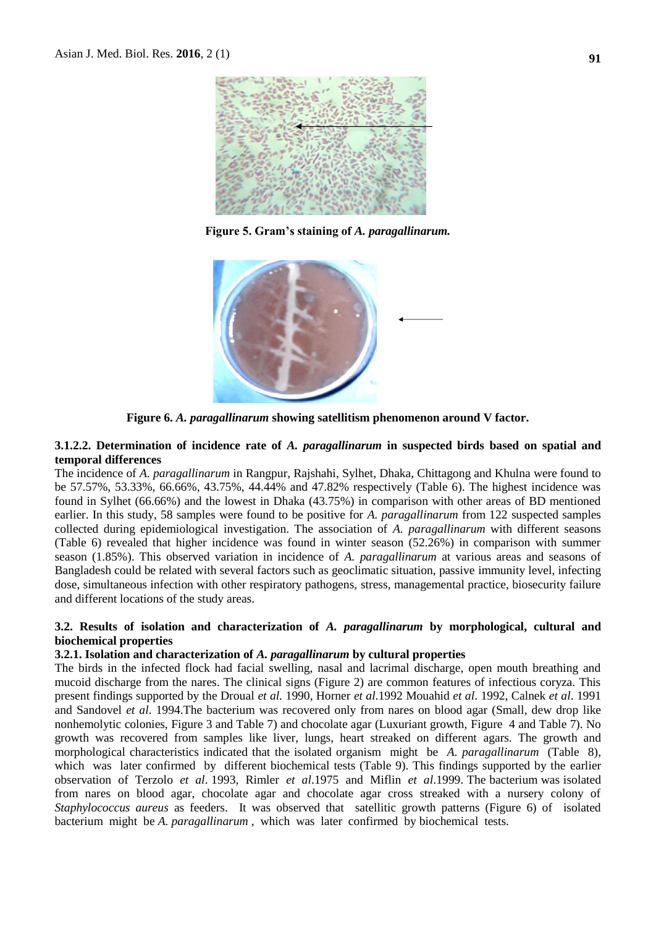

**Figure 5. Gram's staining of** *A. paragallinarum.*



**Figure 6.** *A. paragallinarum* **showing satellitism phenomenon around V factor.**

#### **3.1.2.2. Determination of incidence rate of** *A. paragallinarum* **in suspected birds based on spatial and temporal differences**

The incidence of *A. paragallinarum* in Rangpur, Rajshahi, Sylhet, Dhaka, Chittagong and Khulna were found to be 57.57%, 53.33%, 66.66%, 43.75%, 44.44% and 47.82% respectively (Table 6). The highest incidence was found in Sylhet (66.66%) and the lowest in Dhaka (43.75%) in comparison with other areas of BD mentioned earlier. In this study, 58 samples were found to be positive for *A. paragallinarum* from 122 suspected samples collected during epidemiological investigation. The association of *A. paragallinarum* with different seasons (Table 6) revealed that higher incidence was found in winter season (52.26%) in comparison with summer season (1.85%). This observed variation in incidence of *A. paragallinarum* at various areas and seasons of Bangladesh could be related with several factors such as geoclimatic situation, passive immunity level, infecting dose, simultaneous infection with other respiratory pathogens, stress, managemental practice, biosecurity failure and different locations of the study areas.

#### **3.2. Results of isolation and characterization of** *A. paragallinarum* **by morphological, cultural and biochemical properties**

#### **3.2.1. Isolation and characterization of** *A. paragallinarum* **by cultural properties**

The birds in the infected flock had facial swelling, nasal and lacrimal discharge, open mouth breathing and mucoid discharge from the nares. The clinical signs (Figure 2) are common features of infectious coryza. This present findings supported by the Droual *et al.* 1990, Horner *et al*.1992 Mouahid *et al*. 1992, Calnek *et al*. 1991 and Sandovel *et al*. 1994.The bacterium was recovered only from nares on blood agar (Small, dew drop like nonhemolytic colonies, Figure 3 and Table 7) and chocolate agar (Luxuriant growth, Figure 4 and Table 7). No growth was recovered from samples like liver, lungs, heart streaked on different agars. The growth and morphological characteristics indicated that the isolated organism might be *A. paragallinarum* (Table 8), which was later confirmed by different biochemical tests (Table 9). This findings supported by the earlier observation of Terzolo *et al*. 1993, Rimler *et al*.1975 and Miflin *et al*.1999. The bacterium was isolated from nares on blood agar, chocolate agar and chocolate agar cross streaked with a nursery colony of *Staphylococcus aureus* as feeders. It was observed that satellitic growth patterns (Figure 6) of isolated bacterium might be *A. paragallinarum* , which was later confirmed by biochemical tests.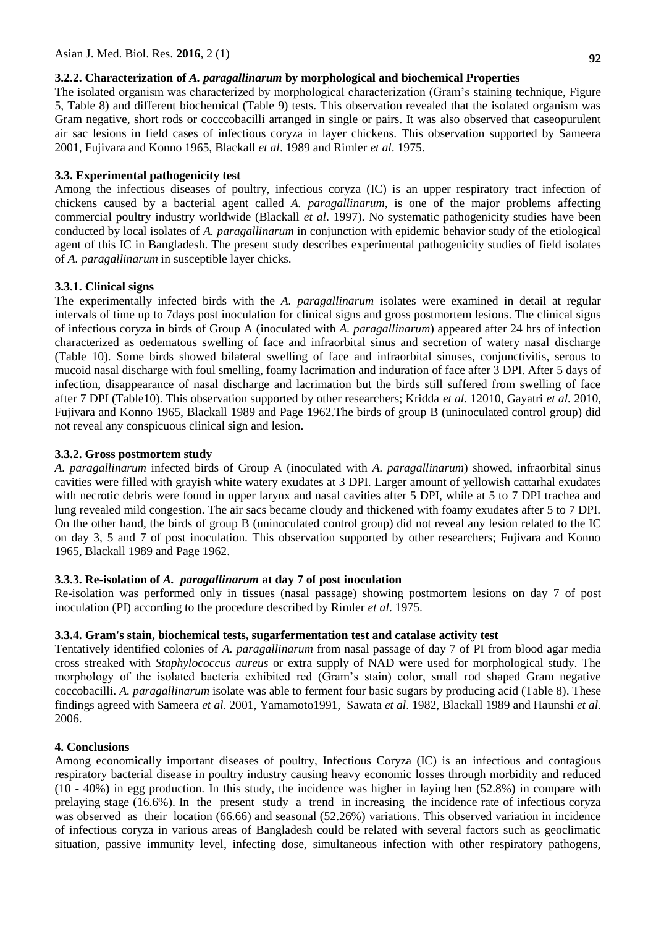### **3.2.2. Characterization of** *A. paragallinarum* **by morphological and biochemical Properties**

The isolated organism was characterized by morphological characterization (Gram's staining technique, Figure 5, Table 8) and different biochemical (Table 9) tests. This observation revealed that the isolated organism was Gram negative, short rods or cocccobacilli arranged in single or pairs. It was also observed that caseopurulent air sac lesions in field cases of infectious coryza in layer chickens. This observation supported by Sameera 2001, Fujivara and Konno 1965, Blackall *et al*. 1989 and Rimler *et al*. 1975.

### **3.3. Experimental pathogenicity test**

Among the infectious diseases of poultry, infectious coryza (IC) is an upper respiratory tract infection of chickens caused by a bacterial agent called *A. paragallinarum*, is one of the major problems affecting commercial poultry industry worldwide (Blackall *et al*. 1997). No systematic pathogenicity studies have been conducted by local isolates of *A. paragallinarum* in conjunction with epidemic behavior study of the etiological agent of this IC in Bangladesh. The present study describes experimental pathogenicity studies of field isolates of *A. paragallinarum* in susceptible layer chicks.

### **3.3.1. Clinical signs**

The experimentally infected birds with the *A. paragallinarum* isolates were examined in detail at regular intervals of time up to 7days post inoculation for clinical signs and gross postmortem lesions. The clinical signs of infectious coryza in birds of Group A (inoculated with *A. paragallinarum*) appeared after 24 hrs of infection characterized as oedematous swelling of face and infraorbital sinus and secretion of watery nasal discharge (Table 10). Some birds showed bilateral swelling of face and infraorbital sinuses, conjunctivitis, serous to mucoid nasal discharge with foul smelling, foamy lacrimation and induration of face after 3 DPI. After 5 days of infection, disappearance of nasal discharge and lacrimation but the birds still suffered from swelling of face after 7 DPI (Table10). This observation supported by other researchers; Kridda *et al.* 12010, Gayatri *et al.* 2010, Fujivara and Konno 1965, Blackall 1989 and Page 1962.The birds of group B (uninoculated control group) did not reveal any conspicuous clinical sign and lesion.

### **3.3.2. Gross postmortem study**

*A. paragallinarum* infected birds of Group A (inoculated with *A. paragallinarum*) showed, infraorbital sinus cavities were filled with grayish white watery exudates at 3 DPI. Larger amount of yellowish cattarhal exudates with necrotic debris were found in upper larynx and nasal cavities after 5 DPI, while at 5 to 7 DPI trachea and lung revealed mild congestion. The air sacs became cloudy and thickened with foamy exudates after 5 to 7 DPI. On the other hand, the birds of group B (uninoculated control group) did not reveal any lesion related to the IC on day 3, 5 and 7 of post inoculation. This observation supported by other researchers; Fujivara and Konno 1965, Blackall 1989 and Page 1962.

### **3.3.3. Re-isolation of** *A. paragallinarum* **at day 7 of post inoculation**

Re-isolation was performed only in tissues (nasal passage) showing postmortem lesions on day 7 of post inoculation (PI) according to the procedure described by Rimler *et al*. 1975.

# **3.3.4. Gram's stain, biochemical tests, sugarfermentation test and catalase activity test**

Tentatively identified colonies of *A. paragallinarum* from nasal passage of day 7 of PI from blood agar media cross streaked with *Staphylococcus aureus* or extra supply of NAD were used for morphological study. The morphology of the isolated bacteria exhibited red (Gram's stain) color, small rod shaped Gram negative coccobacilli. *A. paragallinarum* isolate was able to ferment four basic sugars by producing acid (Table 8). These findings agreed with Sameera *et al.* 2001, Yamamoto1991, Sawata *et al*. 1982, Blackall 1989 and Haunshi *et al.* 2006.

### **4. Conclusions**

Among economically important diseases of poultry, Infectious Coryza (IC) is an infectious and contagious respiratory bacterial disease in poultry industry causing heavy economic losses through morbidity and reduced (10 - 40%) in egg production. In this study, the incidence was higher in laying hen (52.8%) in compare with prelaying stage (16.6%). In the present study a trend in increasing the incidence rate of infectious coryza was observed as their location (66.66) and seasonal (52.26%) variations. This observed variation in incidence of infectious coryza in various areas of Bangladesh could be related with several factors such as geoclimatic situation, passive immunity level, infecting dose, simultaneous infection with other respiratory pathogens,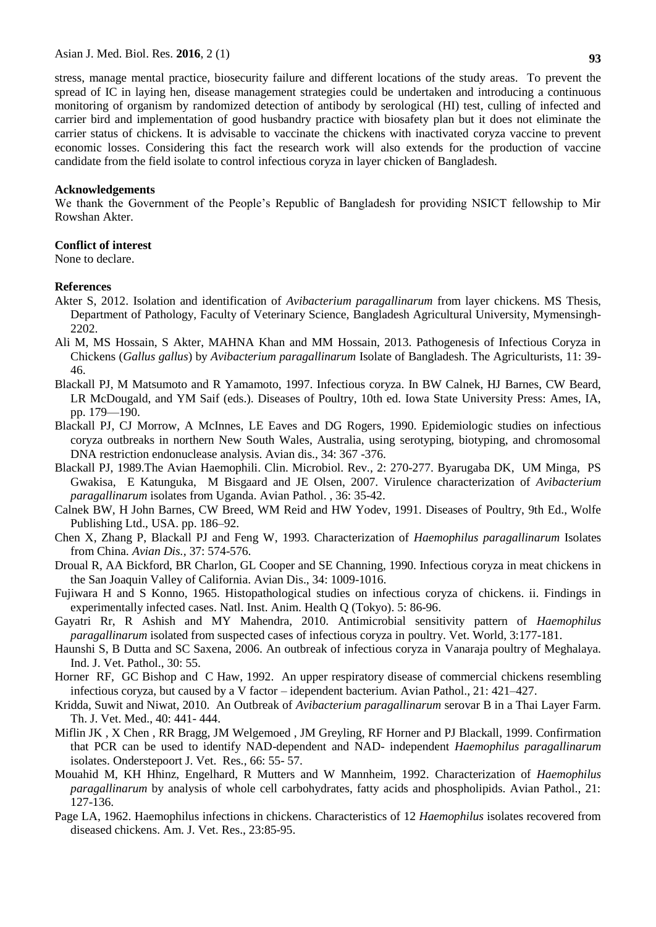Asian J. Med. Biol. Res. **2016**, 2 (1)

stress, manage mental practice, biosecurity failure and different locations of the study areas. To prevent the spread of IC in laying hen, disease management strategies could be undertaken and introducing a continuous monitoring of organism by randomized detection of antibody by serological (HI) test, culling of infected and carrier bird and implementation of good husbandry practice with biosafety plan but it does not eliminate the carrier status of chickens. It is advisable to vaccinate the chickens with inactivated coryza vaccine to prevent economic losses. Considering this fact the research work will also extends for the production of vaccine candidate from the field isolate to control infectious coryza in layer chicken of Bangladesh.

#### **Acknowledgements**

We thank the Government of the People's Republic of Bangladesh for providing NSICT fellowship to Mir Rowshan Akter.

### **Conflict of interest**

None to declare.

### **References**

- Akter S, 2012. Isolation and identification of *Avibacterium paragallinarum* from layer chickens. MS Thesis, Department of Pathology, Faculty of Veterinary Science, Bangladesh Agricultural University, Mymensingh-2202.
- Ali M, MS Hossain, S Akter, MAHNA Khan and MM Hossain, 2013. Pathogenesis of Infectious Coryza in Chickens (*Gallus gallus*) by *Avibacterium paragallinarum* Isolate of Bangladesh. The Agriculturists, 11: 39- 46.
- Blackall PJ, M Matsumoto and R Yamamoto, 1997. Infectious coryza. In BW Calnek, HJ Barnes, CW Beard, LR McDougald, and YM Saif (eds.). Diseases of Poultry, 10th ed. Iowa State University Press: Ames, IA, pp. 179—190.
- [Blackall PJ,](http://www.ncbi.nlm.nih.gov/pubmed?term=%22Blackall%20PJ%22%5BAuthor%5D) CJ [Morrow,](http://www.ncbi.nlm.nih.gov/pubmed?term=%22Morrow%20CJ%22%5BAuthor%5D) A [McInnes,](http://www.ncbi.nlm.nih.gov/pubmed?term=%22McInnes%20A%22%5BAuthor%5D) LE [Eaves and](http://www.ncbi.nlm.nih.gov/pubmed?term=%22Eaves%20LE%22%5BAuthor%5D) DG [Rogers, 1](http://www.ncbi.nlm.nih.gov/pubmed?term=%22Rogers%20DG%22%5BAuthor%5D)990. Epidemiologic studies on infectious coryza outbreaks in northern New South Wales, Australia, using serotyping, biotyping, and chromosomal DNA restriction endonuclease analysis. Avian dis., 34: 367 -376.
- Blackall PJ, 1989.The Avian Haemophili. Clin. Microbiol. Rev.*,* 2: 270-277. [Byarugaba](http://academic.research.microsoft.com/Author/5008942/denis-k-byarugaba) DK, UM [Minga,](http://academic.research.microsoft.com/Author/24433953/uswege-m-minga) [PS](http://academic.research.microsoft.com/Author/23691817/paul-gwakisa) [Gwakisa,](http://academic.research.microsoft.com/Author/23691817/paul-gwakisa) E [Katunguka,](http://academic.research.microsoft.com/Author/21525405/eli-katunguka-rwakishaya) M [Bisgaard](http://academic.research.microsoft.com/Author/4140700/magne-bisgaard) and JE [Olsen,](http://academic.research.microsoft.com/Author/53713772/john-elmerdahl-olsen) 2007. Virulence characterization of *Avibacterium paragallinarum* isolates from Uganda. [Avian Pathol. ,](http://academic.research.microsoft.com/Journal/8774/avian-pathol-avian-pathology) 36: 35-42.
- Calnek BW, H John Barnes, CW Breed, WM Reid and HW Yodev, 1991. Diseases of Poultry, 9th Ed., Wolfe Publishing Ltd., USA. pp. 186–92.
- Chen X, Zhang P, Blackall PJ and Feng W, 1993. Characterization of *Haemophilus paragallinarum* Isolates from China*. Avian Dis.,* 37: 574-576.
- Droual R, AA Bickford, BR Charlon, GL Cooper and SE Channing, 1990. Infectious coryza in meat chickens in the San Joaquin Valley of California. Avian Dis., 34: 1009-1016.
- Fujiwara H and S Konno, 1965. Histopathological studies on infectious coryza of chickens. ii. Findings in experimentally infected cases. Natl. Inst. Anim. Health Q (Tokyo). 5: 86-96.
- Gayatri Rr, R Ashish and MY Mahendra, 2010. Antimicrobial sensitivity pattern of *Haemophilus paragallinarum* isolated from suspected cases of infectious coryza in poultry. Vet. World, 3:177-181.
- Haunshi S, B Dutta and SC Saxena, 2006. An outbreak of infectious coryza in Vanaraja poultry of Meghalaya. Ind. J. Vet. Pathol., 30: 55.
- Horner RF, GC Bishop and C Haw, 1992. An upper respiratory disease of commercial chickens resembling infectious coryza, but caused by a V factor – idependent bacterium. Avian Pathol., 21: 421–427.
- Kridda, Suwit and Niwat, 2010. An Outbreak of *Avibacterium paragallinarum* serovar B in a Thai Layer Farm. Th. J. Vet. Med., 40: 441- 444.
- [Miflin JK ,](http://www.ncbi.nlm.nih.gov/pubmed?term=Miflin%20JK%5BAuthor%5D&cauthor=true&cauthor_uid=10396764) X [Chen ,](http://www.ncbi.nlm.nih.gov/pubmed?term=Chen%20X%5BAuthor%5D&cauthor=true&cauthor_uid=10396764) RR [Bragg,](http://www.ncbi.nlm.nih.gov/pubmed?term=Bragg%20RR%5BAuthor%5D&cauthor=true&cauthor_uid=10396764) JM [Welgemoed ,](http://www.ncbi.nlm.nih.gov/pubmed?term=Welgemoed%20JM%5BAuthor%5D&cauthor=true&cauthor_uid=10396764) JM [Greyling,](http://www.ncbi.nlm.nih.gov/pubmed?term=Greyling%20JM%5BAuthor%5D&cauthor=true&cauthor_uid=10396764) RF [Horner a](http://www.ncbi.nlm.nih.gov/pubmed?term=Horner%20RF%5BAuthor%5D&cauthor=true&cauthor_uid=10396764)nd PJ [Blackall, 1](http://www.ncbi.nlm.nih.gov/pubmed?term=Blackall%20PJ%5BAuthor%5D&cauthor=true&cauthor_uid=10396764)999. Confirmation that PCR can be used to identify NAD-dependent and NAD- independent *Haemophilus paragallinarum* isolates. [Onderstepoort J. Vet. Res.,](file:///C:/DOCUME~1/USERPC~1/LOCALS~1/Temp/Temporary%20Directory%2018%20for%20Coryza%20internet%20collection.zip/IC%20(PCR).htm) 66: 55- 57.
- Mouahid M, KH Hhinz, Engelhard, R Mutters and W Mannheim, 1992. Characterization of *Haemophilus paragallinarum* by analysis of whole cell carbohydrates, fatty acids and phospholipids. Avian Pathol., 21: 127-136.
- Page LA, 1962. Haemophilus infections in chickens. Characteristics of 12 *Haemophilus* isolates recovered from diseased chickens. Am. J. Vet. Res., 23:85-95.